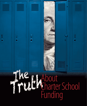# **About**<br>**Charter School**<br>Funding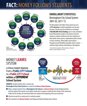## **FACT:**MONEY FOLLOWS STUDENTS



#### **ENROLLMENT STATISTICS:** Birmingham City School System 2001-02, 2011-12

The Birmingham City Public School system has seen a **33% decrease** in student population over the past ten years. This decrease has resulted in an estimated **\$100,000,000 of lost funding**, due to state and federal funds following the students. The primary reason for changes in student enrollments has been migration to other public school systems, independent private schools, or home schooling. Better public school options through increased flexibility and public charter schools could have kept students and funding in Birmingham.

\* Trussville schools opened in 2005, resulting in a decrease in Jefferson County enrollment to 35,834.



**EXAMPLE:**Student transfers from a school in the

**Birmingham City School System**to a school in the **Hoover School System**.

- When a student transfers from a **Birmingham City School** to a **Hoover School**, all state funding transfers with the student if the transfer occurs before school starts in August or within the first 20 days of the school year. If after the first 20 days, the state funds follow the student at the beginning of the next school year.
- All parties accept this as routine and it is routinely accepted.
- Once enrolled in the **Hoover School**, local funding and federal funding stays in Hoover.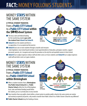# **FACT:**MONEY FOLLOWS STUDENTS

## MONEY **STAYS**WITHIN THE SAME SYSTEM

#### **A TYPICAL STUDENT TRANSFER:** From a **Public CITY School** to a **Public CITY Schoolwithin the SAME School System**

- The local, state and federal funding for the transferring student **goes with the student from School A to School B**.
- **School A** loses the student and there is no opposition; it is an accepted and fair practice.



- **School A** loses one or more students through a transfer and everyone (state legislators, local school board members, local superintendents of education, principals, teachers, support personnel, parents, etc.) recognize and accept this procedure as the only fair and equitable manner to fund schools.
- **School A** has to adjust expenses (reduce staff and other costs) as it loses students and **School B** has to adjust expenses (add staff and other costs) as it gains students.

## MONEY **STAYS**WITHIN THE SAME SYSTEM

#### **A TYPICAL STUDENT TRANSFER:** From a **Public CITY School** to a **Public CHARTER School within Birmingham**

■ When a student transfers from a **Birmingham City Public School (School A)** to a **Public Charter School** within the City of Birmingham, local, state and federal funding would follow the student, just as it currently does in every transfer.



- Since transfers from one public school within a school system to another public school in the same system are routine and routinely accepted by all parties, why would a transfer from Public School A to a Public Charter School be any different?
- **Public Charter Schools** keep the funding at home.